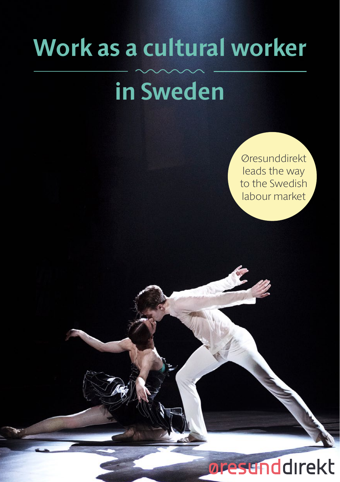# **Work as a cultural worker**

# **in Sweden**

Øresunddirekt leads the way to the Swedish labour market

# oresunddirekt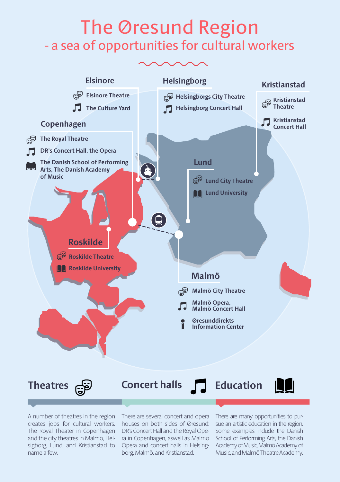# The Øresund Region<br>- a sea of opportunities for cultural workers



creates jobs for cultural workers. and the city theatres in Malmö, Helname a few.

A number of theatres in the region There are several concert and opera There are many opportunities to pur-The Royal Theater in Copenhagen DR's Concert Hall and the Royal Ope- Some examples indude the Danish sigborg, Lund, and Kristianstad to Opera and concert halls in Helsinghouses on both sides of Øresund: sue an artistic education in the region. ra in Copenhagen, aswell as Malmö borg, Malmö, and Kristianstad.

School of Performing Arts, the Danish Academy of Music, Malmö Academy of Music, and Malmö Theatre Academy.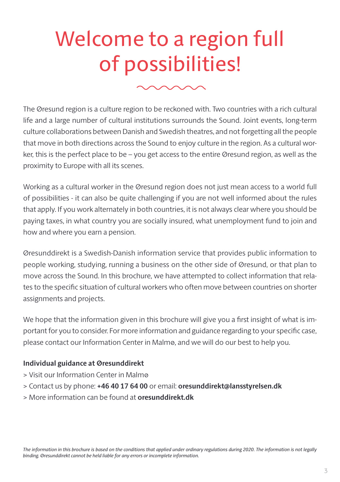# Welcome to a region full of possibilities!

The Øresund region is a culture region to be reckoned with. Two countries with a rich cultural life and a large number of cultural institutions surrounds the Sound. Joint events, long-term culture collaborations between Danish and Swedish theatres, and not forgetting all the people that move in both directions across the Sound to enjoy culture in the region. As a cultural worker, this is the perfect place to be – you get access to the entire Øresund region, as well as the proximity to Europe with all its scenes.

Working as a cultural worker in the Øresund region does not just mean access to a world full of possibilities - it can also be quite challenging if you are not well informed about the rules that apply. If you work alternately in both countries, it is not always clear where you should be paying taxes, in what country you are socially insured, what unemployment fund to join and how and where you earn a pension.

Øresunddirekt is a Swedish-Danish information service that provides public information to people working, studying, running a business on the other side of Øresund, or that plan to move across the Sound. In this brochure, we have attempted to collect information that relates to the specific situation of cultural workers who often move between countries on shorter assignments and projects.

We hope that the information given in this brochure will give you a first insight of what is important for you to consider. For more information and guidance regarding to your specific case, please contact our Information Center in Malmø, and we will do our best to help you.

#### **Individual guidance at Øresunddirekt**

- > Visit our Information Center in Malmø
- > Contact us by phone: **+46 40 17 64 00** or email: **oresunddirekt@lansstyrelsen.dk**
- > More information can be found at **oresunddirekt.dk**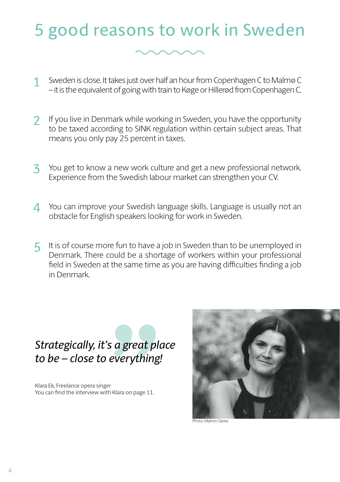### 5 good reasons to work in Sweden



- Sweden is close. It takes just over half an hour from Copenhagen C to Malmø C – it is the equivalent of going with train to Køge or Hillerød from Copenhagen C. 1
- If you live in Denmark while working in Sweden, you have the opportunity to be taxed according to SINK regulation within certain subject areas. That means you only pay 25 percent in taxes.  $\overline{\mathbf{2}}$
- You get to know a new work culture and get a new professional network. Experience from the Swedish labour market can strengthen your CV. 3
- You can improve your Swedish language skills. Language is usually not an obstacle for English speakers looking for work in Sweden.  $\Delta$
- It is of course more fun to have a job in Sweden than to be unemployed in 5 Denmark. There could be a shortage of workers within your professional field in Sweden at the same time as you are having difficulties finding a job in Denmark.

# s a great pla<br>everything!<br>"<br>"<sup>Klara on page 11.</sup> *Strategically, it's a great place to be – close to everything!*

Klara Ek, Freelance opera singer You can find the interview with Klara on page 11.



Photo: Malmö Opera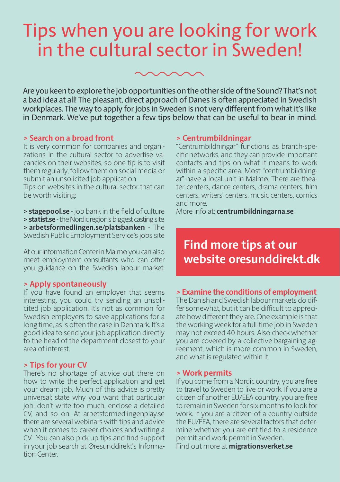### Tips when you are looking for work in the cultural sector in Sweden!

Are you keen to explore the job opportunities on the other side of the Sound? That's not a bad idea at all! The pleasant, direct approach of Danes is often appreciated in Swedish workplaces. The way to apply for jobs in Sweden is not very different from what it's like in Denmark. We've put together a few tips below that can be useful to bear in mind.

#### **> Search on a broad front**

It is very common for companies and organizations in the cultural sector to advertise vacancies on their websites, so one tip is to visit them regularly, follow them on social media or submit an unsolicited job application.

Tips on websites in the cultural sector that can be worth visiting:

**> stagepool.se** - job bank in the field of culture **> statist.se** - the Nordic region's biggest casting site **> arbetsformedlingen.se/platsbanken** - The Swedish Public Employment Service's jobs site

At our Information Center in Malmø you can also meet employment consultants who can offer you guidance on the Swedish labour market.

#### **> Apply spontaneously**

If you have found an employer that seems interesting, you could try sending an unsolicited job application. It's not as common for Swedish employers to save applications for a long time, as is often the case in Denmark. It's a good idea to send your job application directly to the head of the department closest to your area of interest.

#### **> Tips for your CV**

There's no shortage of advice out there on how to write the perfect application and get your dream job. Much of this advice is pretty universal: state why you want that particular job, don't write too much, enclose a detailed CV, and so on. At arbetsformedlingenplay.se there are several webinars with tips and advice when it comes to career choices and writing a CV. You can also pick up tips and find support in your job search at Øresunddirekt's Information Center.

#### **> Centrumbildningar**

"Centrumbildningar" functions as branch-specific networks, and they can provide important contacts and tips on what it means to work within a specific area. Most "centrumbildningar" have a local unit in Malmø. There are theater centers, dance centers, drama centers, film centers, writers' centers, music centers, comics and more.

More info at: **centrumbildningarna.se**

### **Find more tips at our website oresunddirekt.dk**

#### **> Examine the conditions of employment**

The Danish and Swedish labour markets do differ somewhat, but it can be difficult to appreciate how different they are. One example is that the working week for a full-time job in Sweden may not exceed 40 hours. Also check whether you are covered by a collective bargaining agreement, which is more common in Sweden, and what is regulated within it.

#### **> Work permits**

If you come from a Nordic country, you are free to travel to Sweden to live or work. If you are a citizen of another EU/EEA country, you are free to remain in Sweden for six months to look for work. If you are a citizen of a country outside the EU/EEA, there are several factors that determine whether you are entitled to a residence permit and work permit in Sweden.

Find out more at **migrationsverket.se**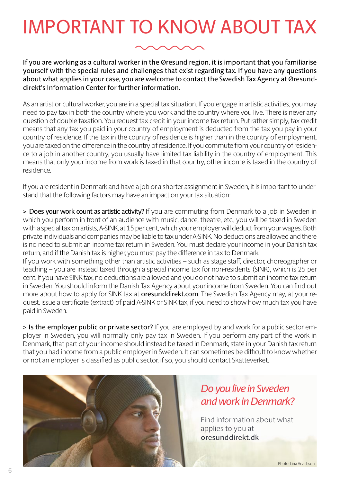## IMPORTANT TO KNOW ABOUT TAX

If you are working as a cultural worker in the Øresund region, it is important that you familiarise yourself with the special rules and challenges that exist regarding tax. If you have any questions about what applies in your case, you are welcome to contact the Swedish Tax Agency at Øresunddirekt's Information Center for further information.

As an artist or cultural worker, you are in a special tax situation. If you engage in artistic activities, you may need to pay tax in both the country where you work and the country where you live. There is never any question of double taxation. You request tax credit in your income tax return. Put rather simply, tax credit means that any tax you paid in your country of employment is deducted from the tax you pay in your country of residence. If the tax in the country of residence is higher than in the country of employment, you are taxed on the difference in the country of residence. If you commute from your country of residence to a job in another country, you usually have limited tax liability in the country of employment. This means that only your income from work is taxed in that country, other income is taxed in the country of residence.

If you are resident in Denmark and have a job or a shorter assignment in Sweden, it is important to understand that the following factors may have an impact on your tax situation:

> Does your work count as artistic activity? If you are commuting from Denmark to a job in Sweden in which you perform in front of an audience with music, dance, theatre, etc., you will be taxed in Sweden with a special tax on artists, A-SINK, at 15 per cent, which your employer will deduct from your wages. Both private individuals and companies may be liable to tax under A-SINK. No deductions are allowed and there is no need to submit an income tax return in Sweden. You must declare your income in your Danish tax return, and if the Danish tax is higher, you must pay the difference in tax to Denmark.

If you work with something other than artistic activities – such as stage staff, director, choreographer or teaching – you are instead taxed through a special income tax for non-residents (SINK), which is 25 per cent. If you have SINK tax, no deductions are allowed and you do not have to submit an income tax return in Sweden. You should inform the Danish Tax Agency about your income from Sweden. You can find out more about how to apply for SINK tax at **oresunddirekt.com**. The Swedish Tax Agency may, at your request, issue a certificate (extract) of paid A-SINK or SINK tax, if you need to show how much tax you have paid in Sweden.

> Is the employer public or private sector? If you are employed by and work for a public sector employer in Sweden, you will normally only pay tax in Sweden. If you perform any part of the work in Denmark, that part of your income should instead be taxed in Denmark, state in your Danish tax return that you had income from a public employer in Sweden. It can sometimes be difficult to know whether or not an employer is classified as public sector, if so, you should contact Skatteverket.



### *Do you live in Sweden and work in Denmark?*

Find information about what applies to you at oresunddirekt.dk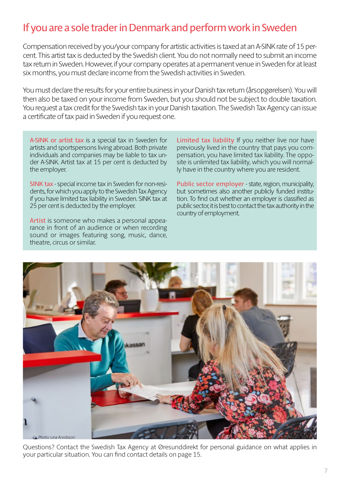### If you are a sole trader in Denmark and perform work in Sweden

Compensation received by you/your company for artistic activities is taxed at an A-SINK rate of 15 percent. This artist tax is deducted by the Swedish client. You do not normally need to submit an income tax return in Sweden. However, if your company operates at a permanent venue in Sweden for at least six months, you must declare income from the Swedish activities in Sweden.

You must declare the results for your entire business in your Danish tax return (årsopgørelsen). You will then also be taxed on your income from Sweden, but you should not be subject to double taxation. You request a tax credit for the Swedish tax in your Danish taxation. The Swedish Tax Agency can issue a certificate of tax paid in Sweden if you request one.

A-SINK or artist tax is a special tax in Sweden for artists and sportspersons living abroad. Both private individuals and companies may be liable to tax under A-SINK. Artist tax at 15 per cent is deducted by the employer.

SINK tax - special income tax in Sweden for non-residents, for which you apply to the Swedish Tax Agency if you have limited tax liability in Sweden. SINK tax at 25 per cent is deducted by the employer.

Artist is someone who makes a personal appearance in front of an audience or when recording sound or images featuring song, music, dance, theatre, circus or similar.

Limited tax liability If you neither live nor have previously lived in the country that pays you compensation, you have limited tax liability. The opposite is unlimited tax liability, which you will normally have in the country where you are resident.

Public sector employer - state, region, municipality, but sometimes also another publicly funded institution. To find out whether an employer is classified as public sector, it is best to contact the tax authority in the country of employment.



Questions? Contact the Swedish Tax Agency at Øresunddirekt for personal guidance on what applies in your particular situation. You can find contact details on page 15.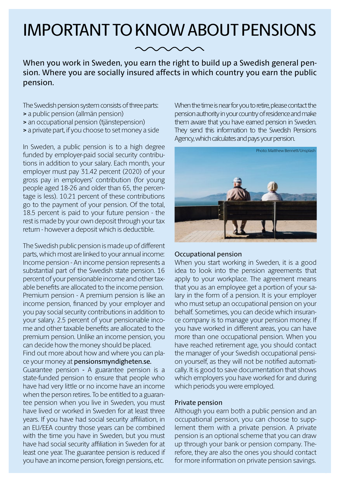### IMPORTANT TO KNOW ABOUT PENSIONS

When you work in Sweden, you earn the right to build up a Swedish general pension. Where you are socially insured affects in which country you earn the public pension.

The Swedish pension system consists of three parts:

- **>** a public pension (allmän pension)
- **>** an occupational pension (tjänstepension)
- **>** a private part, if you choose to set money a side

In Sweden, a public pension is to a high degree funded by employer-paid social security contributions in addition to your salary. Each month, your employer must pay 31.42 percent (2020) of your gross pay in employers' contribution (for young people aged 18-26 and older than 65, the percentage is less). 10.21 percent of these contributions go to the payment of your pension. Of the total, 18.5 percent is paid to your future pension - the rest is made by your own deposit through your tax return - however a deposit which is deductible.

The Swedish public pension is made up of different parts, which most are linked to your annual income: Income pension - An income pension represents a substantial part of the Swedish state pension. 16 percent of your pensionable income and other taxable benefits are allocated to the income pension. Premium pension - A premium pension is like an income pension, financed by your employer and you pay social security contributions in addition to your salary. 2.5 percent of your pensionable income and other taxable benefits are allocated to the premium pension. Unlike an income pension, you can decide how the money should be placed. Find out more about how and where you can place your money at pensionsmyndigheten.se. Guarantee pension - A guarantee pension is a state-funded pension to ensure that people who have had very little or no income have an income when the person retires. To be entitled to a guarantee pension when you live in Sweden, you must have lived or worked in Sweden for at least three years. If you have had social security affiliation, in

an EU/EEA country those years can be combined with the time you have in Sweden, but you must have had social security affiliation in Sweden for at least one year. The guarantee pension is reduced if you have an income pension, foreign pensions, etc.

When the time is near for you to retire, please contact the pension authority in your country of residence and make them aware that you have earned pension in Sweden. They send this information to the Swedish Pensions Agency, which calculates and pays your pension.



#### Occupational pension

When you start working in Sweden, it is a good idea to look into the pension agreements that apply to your workplace. The agreement means that you as an employee get a portion of your salary in the form of a pension. It is your employer who must setup an occupational pension on your behalf. Sometimes, you can decide which insurance company is to manage your pension money. If you have worked in different areas, you can have more than one occupational pension. When you have reached retirement age, you should contact the manager of your Swedish occupational pension yourself, as they will not be notified automatically. It is good to save documentation that shows which employers you have worked for and during which periods you were employed.

#### Private pension

Although you earn both a public pension and an occupational pension, you can choose to supplement them with a private pension. A private pension is an optional scheme that you can draw up through your bank or pension company. Therefore, they are also the ones you should contact for more information on private pension savings.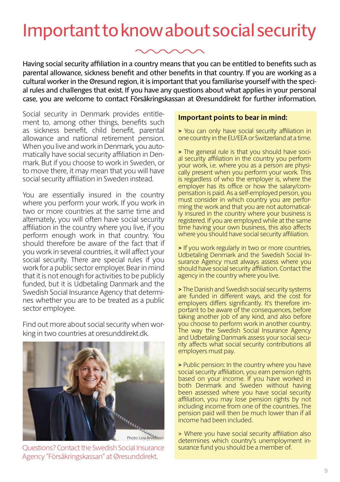### Important to know about social security



Having social security affiliation in a country means that you can be entitled to benefits such as parental allowance, sickness benefit and other benefits in that country. If you are working as a cultural worker in the Øresund region, it is important that you familiarise yourself with the special rules and challenges that exist. If you have any questions about what applies in your personal case, you are welcome to contact Försäkringskassan at Øresunddirekt for further information.

Social security in Denmark provides entitlement to, among other things, benefits such as sickness benefit, child benefit, parental allowance and national retirement pension. When you live and work in Denmark, you automatically have social security affiliation in Denmark. But if you choose to work in Sweden, or to move there, it may mean that you will have social security affiliation in Sweden instead.

You are essentially insured in the country where you perform your work. If you work in two or more countries at the same time and alternately, you will often have social security affiliation in the country where you live, if you perform enough work in that country. You should therefore be aware of the fact that if you work in several countries, it will affect your social security. There are special rules if you work for a public sector employer. Bear in mind that it is not enough for activities to be publicly funded, but it is Udbetaling Danmark and the Swedish Social Insurance Agency that determines whether you are to be treated as a public sector employee.

Find out more about social security when working in two countries at oresunddirekt.dk.



Questions? Contact the Swedish Social Insurance Agency "Försäkringskassan" at Øresunddirekt.

#### **Important points to bear in mind:**

**>** You can only have social security affiliation in one country in the EU/EEA or Switzerland at a time.

**>** The general rule is that you should have social security affiliation in the country you perform your work, i.e. where you as a person are physically present when you perform your work. This is regardless of who the employer is, where the employer has its office or how the salary/compensation is paid. As a self-employed person, you must consider in which country you are performing the work and that you are not automatically insured in the country where your business is registered. If you are employed while at the same time having your own business, this also affects where you should have social security affiliation.

**>** If you work regularly in two or more countries, Udbetaling Denmark and the Swedish Social Insurance Agency must always assess where you should have social security affiliation. Contact the agency in the country where you live.

**>** The Danish and Swedish social security systems are funded in different ways, and the cost for employers differs significantly. It's therefore important to be aware of the consequences, before taking another job of any kind, and also before you choose to perform work in another country. The way the Swedish Social Insurance Agency and Udbetaling Danmark assess your social security affects what social security contributions all employers must pay.

**>** Public pension: In the country where you have social security affiliation, you earn pension rights based on your income. If you have worked in both Denmark and Sweden without having been assessed where you have social security affiliation, you may lose pension rights by not including income from one of the countries. The pension paid will then be much lower than if all income had been included.

> Where you have social security affiliation also determines which country's unemployment insurance fund you should be a member of.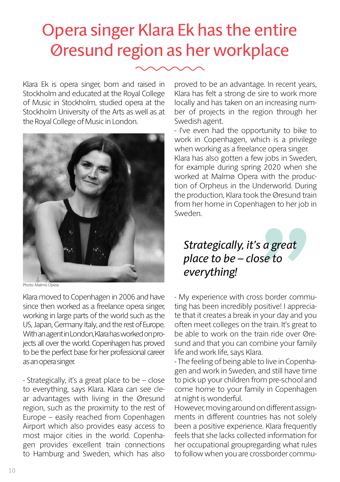### Opera singer Klara Ek has the entire Øresund region as her workplace

Klara Ek is opera singer, born and raised in Stockholm and educated at the Royal College of Music in Stockholm, studied opera at the Stockholm University of the Arts as well as at the Royal College of Music in London.



Photo: Malmö Opera

Klara moved to Copenhagen in 2006 and have since then worked as a freelance opera singer, working in large parts of the world such as the US, Japan, Germany Italy, and the rest of Europe. With an agent in London, Klara has worked on projects all over the world. Copenhagen has proved to be the perfect base for her professional career as an opera singer.

- Strategically, it's a great place to be – close to everything, says Klara. Klara can see clear advantages with living in the Øresund region, such as the proximity to the rest of Europe – easily reached from Copenhagen Airport which also provides easy access to most major cities in the world. Copenhagen provides excellent train connections to Hamburg and Sweden, which has also

proved to be an advantage. In recent years, Klara has felt a strong de sire to work more locally and has taken on an increasing number of projects in the region through her Swedish agent.

- I've even had the opportunity to bike to work in Copenhagen, which is a privilege when working as a freelance opera singer. Klara has also gotten a few jobs in Sweden, for example during spring 2020 when she worked at Malmø Opera with the production of Orpheus in the Underworld. During the production, Klara took the Øresund train from her home in Copenhagen to her job in Sweden.

### *Strategically, it's a great place to be – close to everything!*

**Confidence Sector**<br> **Sector**<br>
Sector<br>
Sector<br>
Sector<br>
Sector<br>
Sector<br>
Sector<br>
Sector<br>
Sector<br>
Sector<br>
Sector<br>
Sector<br>
Sector<br>
Sector<br>
Sector<br>
Sector<br>
Sector<br>
Sector<br>
Sector<br>
Sector<br>
Sector<br>
Sector<br>
Sector<br>
Sector<br>
Sector<br> - My experience with cross border commuting has been incredibly positive! I appreciate that it creates a break in your day and you often meet colleges on the train. It's great to be able to work on the train ride over Øresund and that you can combine your family life and work life, says Klara.

gen and work in Sweden, and still have time to pick up your children from pre-school and come home to your family in Copenhagen at night is wonderful. - The feeling of being able to live in Copenha-

However, moving around on different assignments in different countries has not solely been a positive experience. Klara frequently feels that she lacks collected information for her occupational groupregarding what rules to follow when you are crossborder commu-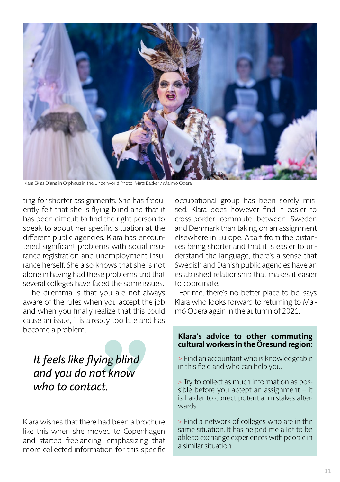

Klara Ek as Diana in Orpheus in the Underworld Photo: Mats Bäcker / Malmö Opera

ting for shorter assignments. She has frequently felt that she is flying blind and that it has been difficult to find the right person to speak to about her specific situation at the different public agencies. Klara has encountered significant problems with social insurance registration and unemployment insurance herself. She also knows that she is not alone in having had these problems and that several colleges have faced the same issues. - The dilemma is that you are not always aware of the rules when you accept the job and when you finally realize that this could cause an issue, it is already too late and has become a problem.

### *It feels like flying blind and you do not know who to contact.*

Klara wishes that there had been a brochure like this when she moved to Copenhagen and started freelancing, emphasizing that more collected information for this specific **ing blind<br>ot know<br>ct.**<br>had been a brocl<br>ved to Copenha<br>g, emphasizing<br>ation for this spe

occupational group has been sorely missed. Klara does however find it easier to cross-border commute between Sweden and Denmark than taking on an assignment elsewhere in Europe. Apart from the distances being shorter and that it is easier to understand the language, there's a sense that Swedish and Danish public agencies have an established relationship that makes it easier to coordinate.

- For me, there's no better place to be, says Klara who looks forward to returning to Malmö Opera again in the autumn of 2021.

#### **Klara's advice to other commuting cultural workers in the Öresund region:**

> Find an accountant who is knowledgeable in this field and who can help you.

> Try to collect as much information as possible before you accept an assignment – it is harder to correct potential mistakes afterwards.

> Find a network of colleges who are in the same situation. It has helped me a lot to be able to exchange experiences with people in a similar situation.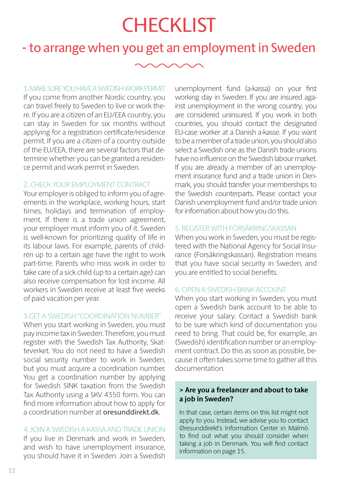### **CHECKLIST**

### **-** to arrange when you get an employment in Sweden

1. MAKE SURE YOU HAVE A SWEDISH WORK PERMIT

If you come from another Nordic country, you can travel freely to Sweden to live or work there. If you are a citizen of an EU/EEA country, you can stay in Sweden for six months without applying for a registration certificate/residence permit. If you are a citizen of a country outside of the EU/EEA, there are several factors that determine whether you can be granted a residence permit and work permit in Sweden.

#### 2. CHECK YOUR EMPLOYMENT CONTRACT

Your employer is obliged to inform you of agreements in the workplace, working hours, start times, holidays and termination of employment. If there is a trade union agreement, your employer must inform you of it. Sweden is well-known for prioritizing quality of life in its labour laws. For example, parents of children up to a certain age have the right to work part-time. Parents who miss work in order to take care of a sick child (up to a certain age) can also receive compensation for lost income. All workers in Sweden receive at least five weeks of paid vacation per year.

#### 3.GET A SWEDISH "COORDINATION NUMBER"

When you start working in Sweden, you must pay income tax in Sweden. Therefore, you must register with the Swedish Tax Authority, Skatteverket. You do not need to have a Swedish social security number to work in Sweden, but you must acquire a coordination number. You get a coordination number by applying for Swedish SINK taxation from the Swedish Tax Authority using a SKV 4350 form. You can find more information about how to apply for a coordination number at oresunddirekt.dk.

#### 4. JOIN A SWEDISH A-KASSA AND TRADE UNION

If you live in Denmark and work in Sweden, and wish to have unemployment insurance, you should have it in Sweden. Join a Swedish unemployment fund (a-kassa) on your first working day in Sweden. If you are insured against unemployment in the wrong country, you are considered uninsured. If you work in both countries, you should contact the designated EU-case worker at a Danish a-kasse. If you want to be a member of a trade union, you should also select a Swedish one as the Danish trade unions have no influence on the Swedish labour market. If you are already a member of an unemployment insurance fund and a trade union in Denmark, you should transfer your memberships to the Swedish counterparts. Please contact your Danish unemployment fund and/or trade union for information about how you do this.

#### 5. REGISTER WITH FÖRSÄKRINGSKASSAN

When you work in Sweden, you must be registered with the National Agency for Social Insurance (Forsäkringskassan). Registration means that you have social security in Sweden, and you are entitled to social benefits.

#### 6. OPEN A SWEDISH BANK ACCOUNT

When you start working in Sweden, you must open a Swedish bank account to be able to receive your salary. Contact a Swedish bank to be sure which kind of documentation you need to bring. That could be, for example, an (Swedish) identification number or an employment contract. Do this as soon as possible, because it often takes some time to gather all this documentation.

#### **> Are you a freelancer and about to take a job in Sweden?**

In that case, certain items on this list might not apply to you. Instead, we advise you to contact Øresunddirekt's Information Center in Malmö to find out what you should consider when taking a job in Denmark. You will find contact information on page 15.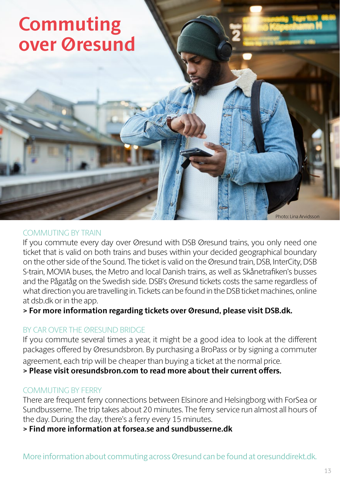### **Commuting over Øresund**

COMMUTING BY TRAIN

If you commute every day over Øresund with DSB Øresund trains, you only need one ticket that is valid on both trains and buses within your decided geographical boundary on the other side of the Sound. The ticket is valid on the Øresund train, DSB, InterCity, DSB S-train, MOVIA buses, the Metro and local Danish trains, as well as Skånetrafiken's busses and the Pågatåg on the Swedish side. DSB's Øresund tickets costs the same regardless of what direction you are travelling in. Tickets can be found in the DSB ticket machines, online at dsb.dk or in the app.

**> For more information regarding tickets over Øresund, please visit DSB.dk.**

#### BY CAR OVER THE ØRESUND BRIDGE

If you commute several times a year, it might be a good idea to look at the different packages offered by Øresundsbron. By purchasing a BroPass or by signing a commuter agreement, each trip will be cheaper than buying a ticket at the normal price.

**> Please visit oresundsbron.com to read more about their current offers.** 

#### COMMUTING BY FERRY

There are frequent ferry connections between Elsinore and Helsingborg with ForSea or Sundbusserne. The trip takes about 20 minutes. The ferry service run almost all hours of the day. During the day, there's a ferry every 15 minutes.

**> Find more information at forsea.se and sundbusserne.dk**

Photo: Lina Arvidsson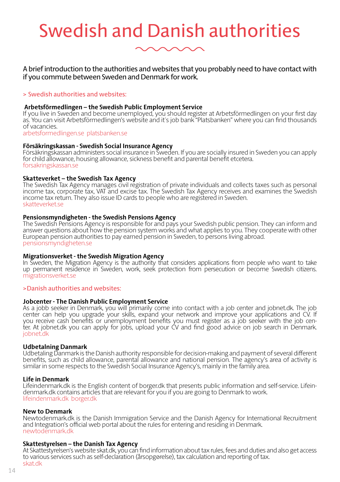# Swedish and Danish authorities

A brief introduction to the authorities and websites that you probably need to have contact with if you commute between Sweden and Denmark for work.

#### > Swedish authorities and websites:

#### **Arbetsförmedlingen – the Swedish Public Employment Service**

If you live in Sweden and become unemployed, you should register at Arbetsförmedlingen on your first day as. You can visit Arbetsförmedlingen's website and it's job bank "Platsbanken" where you can find thousands of vacancies.

arbetsformedlingen.se platsbanken.se

#### **Försäkringskassan - Swedish Social Insurance Agency**

Försäkringskassan administers social insurance in Sweden. If you are socially insured in Sweden you can apply for child allowance, housing allowance, sickness benefit and parental benefit etcetera. forsakringskassan.se

#### **Skatteverket – the Swedish Tax Agency**

The Swedish Tax Agency manages civil registration of private individuals and collects taxes such as personal income tax, corporate tax, VAT and excise tax. The Swedish Tax Agency receives and examines the Swedish income tax return. They also issue ID cards to people who are registered in Sweden. skatteverket.se

#### **Pensionsmyndigheten - the Swedish Pensions Agency**

The Swedish Pensions Agency is responsible for and pays your Swedish public pension. They can inform and answer questions about how the pension system works and what applies to you. They cooperate with other European pension authorities to pay earned pension in Sweden, to persons living abroad. pensionsmyndigheten.se

#### **Migrationsverket - the Swedish Migration Agency**

In Sweden, the Migration Agency is the authority that considers applications from people who want to take up permanent residence in Sweden, work, seek protection from persecution or become Swedish citizens. migrationsverket.se

#### >Danish authorities and websites:

#### **Jobcenter - The Danish Public Employment Service**

As a jobb seeker in Denmark, you will primarily come into contact with a job center and jobnet.dk. The job center can help you upgrade your skills, expand your network and improve your applications and CV. If you receive cash benefits or unemployment benefits you must register as a job seeker with the job center. At jobnet.dk you can apply for jobs, upload your CV and find good advice on job search in Denmark. jobnet.dk

#### **Udbetalning Danmark**

Udbetaling Danmark is the Danish authority responsible for decision-making and payment of several different benefits, such as child allowance, parental allowance and national pension. The agency's area of activity is similar in some respects to the Swedish Social Insurance Agency's, mainly in the family area.

#### **Life in Denmark**

Lifeindenmark.dk is the English content of borger.dk that presents public information and self-service. Lifeindenmark.dk contains articles that are relevant for you if you are going to Denmark to work. lifeindenmark.dk borger.dk

#### **New to Denmark**

Newtodenmark.dk is the Danish Immigration Service and the Danish Agency for International Recruitment and Integration's official web portal about the rules for entering and residing in Denmark. newtodenmark.dk

#### **Skattestyrelsen – the Danish Tax Agency**

At Skattestyrelsen's website skat.dk, you can find information about tax rules, fees and duties and also get access to various services such as self-declaration (årsopgørelse), tax calculation and reporting of tax. skat.dk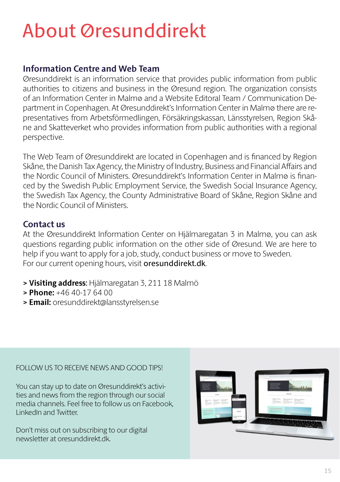# About Øresunddirekt

### **Information Centre and Web Team**

Øresunddirekt is an information service that provides public information from public authorities to citizens and business in the Øresund region. The organization consists of an Information Center in Malmø and a Website Editoral Team / Communication Department in Copenhagen. At Øresunddirekt's Information Center in Malmø there are representatives from Arbetsförmedlingen, Försäkringskassan, Länsstyrelsen, Region Skåne and Skatteverket who provides information from public authorities with a regional perspective.

The Web Team of Øresunddirekt are located in Copenhagen and is financed by Region Skåne, the Danish Tax Agency, the Ministry of Industry, Business and Financial Affairs and the Nordic Council of Ministers. Øresunddirekt's Information Center in Malmø is financed by the Swedish Public Employment Service, the Swedish Social Insurance Agency, the Swedish Tax Agency, the County Administrative Board of Skåne, Region Skåne and the Nordic Council of Ministers.

#### **Contact us**

At the Øresunddirekt Information Center on Hjälmaregatan 3 in Malmø, you can ask questions regarding public information on the other side of Øresund. We are here to help if you want to apply for a job, study, conduct business or move to Sweden. For our current opening hours, visit oresunddirekt.dk.

- **> Visiting address**: Hjälmaregatan 3, 211 18 Malmö
- **> Phone:** +46 40-17 64 00
- **> Email:** oresunddirekt@lansstyrelsen.se

#### FOLLOW US TO RECEIVE NEWS AND GOOD TIPS!

You can stay up to date on Øresunddirekt's activities and news from the region through our social media channels. Feel free to follow us on Facebook, LinkedIn and Twitter.

Don't miss out on subscribing to our digital newsletter at oresunddirekt.dk.